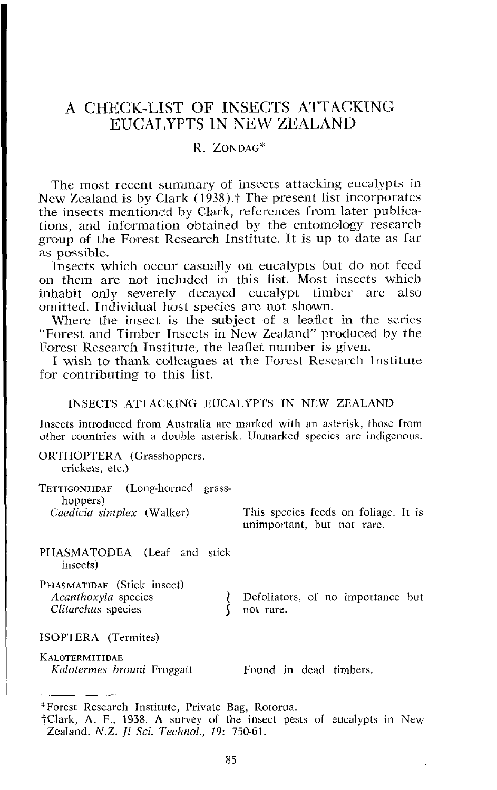## A CHECK-LIST OF INSECTS ATTACKING EUCALYPTS IN NEW ZEALAND

### $R$ . ZONDAG\*

The most recent summary of insects attacking eucalypts in New Zealand is by Clark (1938).<sup>†</sup> The present list incorporates the insects mentioned by Clark, references from later publications, and information obtained by the entomology rescarch group of the Forest Research Institute. It is up to date as far as possible.

Insects which occur casually on eucalypts but do not feed on them are not included in this list. Most insects which inhabit only severely decayed eucalypt timber are also inhabit only severely decayed eucalypt timber are omitted. Individual host species are not shown.

Where the insect is the subject of a leaflet in the series "Forest and Timber Insects in New Zealand" produced by the Forest Research Institute, the leaflet number is given.

I wish to thank colleagues at the Forcst Research Institute for contributing to this list.

#### INSECTS ATTACKING EUCALYPTS IN NEW ZEALAND

Insects introduced from Australia are marked with an asterisk, those from other countries with a double asterisk. Unmarked species are indigenous.

ORTHOPTERA (Grasshoppers, crickets, etc.) TETTIGONIIDAE (Long-horned grasshoppers)<br>Caedicia simplex (Walker) This species feeds on foliage. It is unimportant, but not rare. PHASMATODEA (Leaf and stick insects) PHASMATIDAE (Stick insect)<br>Acanthoxyla species *Acanthoxyla Defoliators, of no importance but* not rare. *Clitarchus* species  $\left\{ \text{not rare.} \right\}$ ISOPTERA (Termites)

**KALOTERMITIDAE** *Kalotermes brouni* Froggatt Found in dead timbers.

<sup>&</sup>quot;Forest Research Institute, Private Bag, Rotorua.

<sup>?</sup>Clark, A. F., 1938. A survey of the insect pests of eucalypts in New Zealand. N.Z. *]I* **Sci.** *Technol., 19: 750-61.*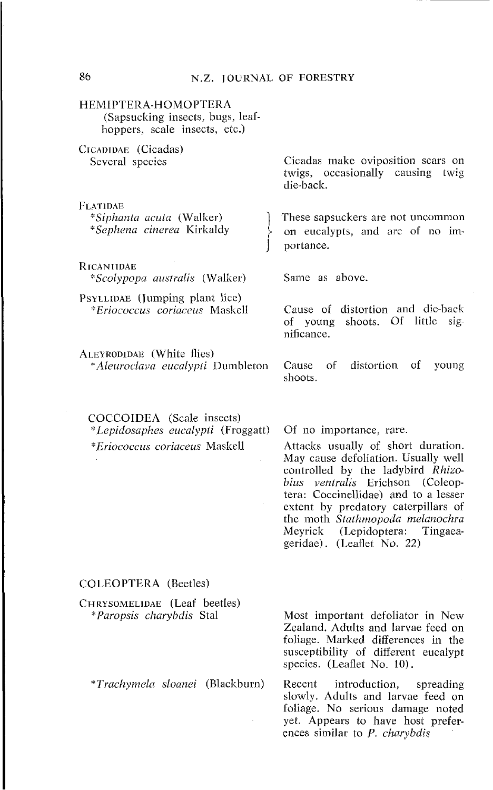#### 86 N.Z. JOURNAL OF FORESTRY

#### HEMIPTER A-HOMOPTER A (Sapsucking insects, bugs, leafhoppers, scale insects, etc.)

CICADIDAE (Cicadas) Several species FLATIDAE *"Sipha~zla acula* (Walker) *"Sephena cinerea* I<irl<aldy RICANIIDAE *"Scolypopa austmlis* (Walker) PSYLLIDAE (Jumping plant lice) *\*Eriococcus coriaceus* Maskell Cicadas make oviposition scars on twigs, occasionally causing twig die-back. These sapsuckers are not uncommon on eucalypts, and are of no importance. Same as above. Cause of distortion and die-back of young shoots. Of little significance. ALEYRODIDAE (White flies) *\*Aleuroclava eucalypli* Dumbleton Cause of distortion of young shoots. COCCOIDEA (Scale insects)

*"Lepidosaphes eucalypti* (Froggatt) 01 no importance, rare. *"Eriococcus coriaceus* Masld Attacks usually of short duration.

May cause defoliation. Usually well controlled by the ladybird *Rhizobius ventralis* Erichson (Coleoptera: Coccinellidae) and to a lesser extent by predatory caterpillars of the moth *Stathmopoda melanochra*  Meyrick (Lepidoptera: Tingaeageridae). (Leaflet No. 22)

yet. Appears to have host preferences similar to P. *charybdis* 

#### COLEOPTERA (Beetles)

| CHRYSOMELIDAE (Leaf beetles)           |                                                                                                                                                                                    |
|----------------------------------------|------------------------------------------------------------------------------------------------------------------------------------------------------------------------------------|
| <i>*Paropsis charybdis</i> Stal        | Most important defoliator in New<br>Zealand. Adults and larvae feed on<br>foliage. Marked differences in the<br>susceptibility of different eucalypt<br>species. (Leaflet No. 10). |
| <i>*Trachymela sloanei</i> (Blackburn) | Recent introduction, spreading<br>slowly. Adults and larvae feed on<br>foliage. No serious damage noted                                                                            |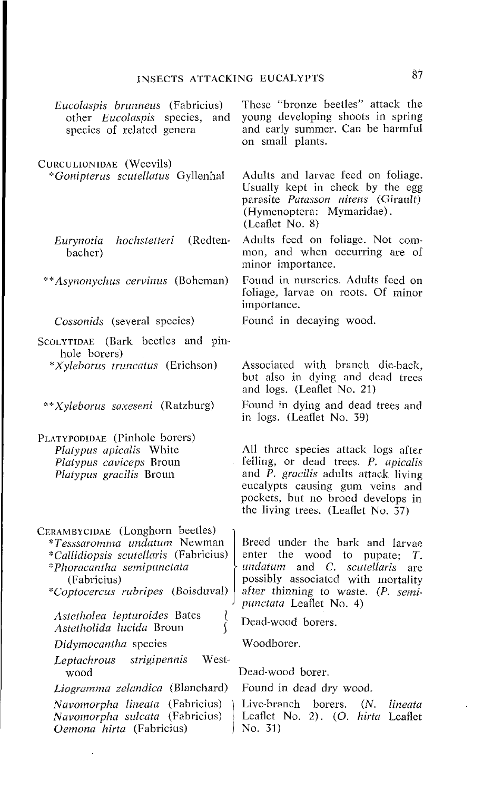# **INSECTS ATTACKING EUCALYPTS 87**

| Eucolaspis brunneus (Fabricius)<br>other <i>Eucolaspis</i> species,<br>and<br>species of related genera                                                                                         | These "bronze beetles" attack the<br>young developing shoots in spring<br>and early summer. Can be harmful<br>on small plants.                                                                                                                     |
|-------------------------------------------------------------------------------------------------------------------------------------------------------------------------------------------------|----------------------------------------------------------------------------------------------------------------------------------------------------------------------------------------------------------------------------------------------------|
| CURCULIONIDAE (Weevils)<br>*Gonipterus scutellatus Gyllenhal                                                                                                                                    | Adults and larvae feed on foliage.<br>Usually kept in check by the egg<br>parasite Patasson nitens (Girault)<br>(Hymenoptera: Mymaridae).<br>(Leaflet No. 8)                                                                                       |
| (Redten-<br>hochstetteri<br>Eurynotia<br>bacher)                                                                                                                                                | Adults feed on foliage. Not com-<br>mon, and when occurring are of<br>minor importance.                                                                                                                                                            |
| ** <i>Asynonychus cervinus</i> (Boheman)                                                                                                                                                        | Found in nurseries. Adults feed on<br>foliage, larvae on roots. Of minor<br>importance.                                                                                                                                                            |
| Cossonids (several species)                                                                                                                                                                     | Found in decaying wood.                                                                                                                                                                                                                            |
| SCOLYTIDAE (Bark beetles and pin-<br>hole borers)                                                                                                                                               |                                                                                                                                                                                                                                                    |
| <i>*Xyleborus truncatus</i> (Erichson)                                                                                                                                                          | Associated with branch die-back.<br>but also in dying and dead trees<br>and logs. (Leaflet No. 21)                                                                                                                                                 |
| ** <i>Xyleborus saxeseni</i> (Ratzburg)                                                                                                                                                         | Found in dying and dead trees and<br>in logs. (Leaflet No. 39)                                                                                                                                                                                     |
| PLATYPODIDAE (Pinhole borers)<br>Platypus apicalis White<br>Platypus caviceps Broun<br><i>Platypus gracilis</i> Broun                                                                           | All three species attack logs after<br>felling, or dead trees. P. apicalis<br>and $\bar{P}$ . gracilis adults attack living<br>eucalypts causing gum veins and<br>pockets, but no brood develops in<br>the living trees. (Leaflet No. $\bar{3}7$ ) |
| CERAMBYCIDAE (Longhorn beetles)<br>*Tesssaromma undatum Newman<br><i>*Callidiopsis scutellaris</i> (Fabricius)<br>*Phoracantha semipunctata<br>(Fabricius)<br>*Coptocercus rubripes (Boisduval) | Breed under the bark and larvae<br>enter the wood to pupate;<br>Т.<br>undatum and C. scutellaris<br>are<br>possibly associated with mortality<br>after thinning to waste. (P. semi-<br><i>punctata</i> Leaflet No. 4)                              |
| Astetholea lepturoides Bates<br>$\left\{ \right.$<br><i>Astetholida lucida</i> Broun                                                                                                            | Dead-wood borers.                                                                                                                                                                                                                                  |
| Didymocantha species                                                                                                                                                                            | Woodborer.                                                                                                                                                                                                                                         |
| strigipennis<br>West-<br>Leptachrous<br>wood                                                                                                                                                    | Dead-wood borer.                                                                                                                                                                                                                                   |
| Liogramma zelandica (Blanchard)                                                                                                                                                                 | Found in dead dry wood.                                                                                                                                                                                                                            |
| Navomorpha lineata (Fabricius)<br>Navomorpha sulcata (Fabricius)<br>Oemona hirta (Fabricius)                                                                                                    | Live-branch borers.<br>$(N_{\odot})$<br>lineata<br>Leaflet No. 2). (O. hirta Leaflet<br>No. 31)                                                                                                                                                    |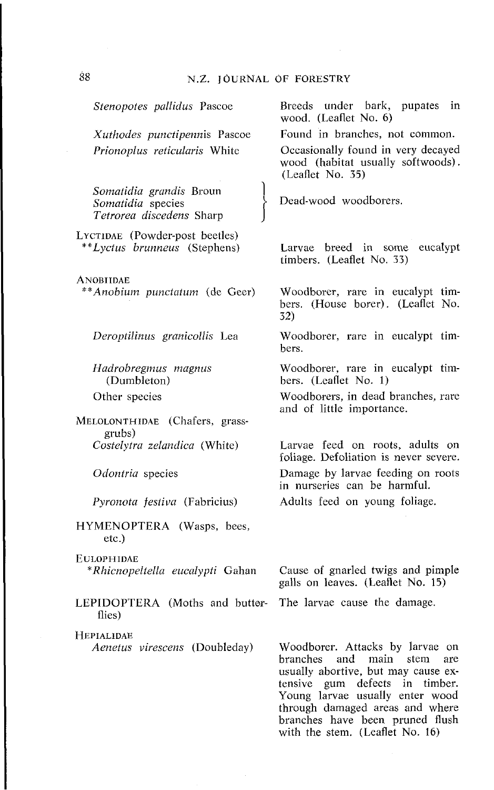*Prionoplus reticularis* White *Somafidia grandis* Broun *Somatidia* species *Tetrorea discedens* Sharp LYCTIDAE (Powder-post beetles) *\*\*Lyctus brunneus* (Stephens) **ANOBIIDAE** *\*\*Anobiurn punctatum* (de Geer) *Deroptilinus granicollis* Lea *Hadrobregmus magnus*  (Dumbleton) Other species MELOLONTHIDAE (Chafers, grassgrubs) *Costelytra zelandica* (White) *Odontria* species *Pyronota festiva* (Fabricius) HYMENOPTERA (Wasps, bees, etc.) EULOPHIDAE *\*Rhicnopeltella eucalypti* Gahan LEPIDOPTERA (Moths and butterflies) **HEPIALIDAE** *Aenetus virescens* (Doubleday) (Leaflet No. 35) 32) bers.

*Stenopoles pallidus* Pascoe

*Xuthodes punctipennis* Pascoe

Breeds under bark, pupates in wood. (Leaflet No. 6)

Found in branches, not common.

Occasionally found in very decayed wood (habitat usually softwoods).

Dead-wood woodborers.

Larvae breed in some eucalypt timbers. (Leaflet No. 33)

Woodborer, rare in eucalypt timbers. (House borer). (Leaflet No.

Woodborer, rare in eucalypt tim-

Woodborer, rare in eucalypt timbers. (Leaflet No. 1)

Woodborers, in dead branches, rare and of little importance.

Larvae feed on roots, adults on foliage. Defoliation is never severe. Damage by larvae feeding on roots in nurseries can be harmful. Adults feed on young foliage.

Cause of gnarled twigs and pimple galls on leaves. (Leaflet No. 15)

The larvae cause the damage.

Woodborer. Attacks by larvae on branches and main stem are usually abortive, but may cause extensive gum defects in timber. Young larvae usually enter wood through damaged areas and where branches have been pruned flush with the stem. (Leaflet No. 16)